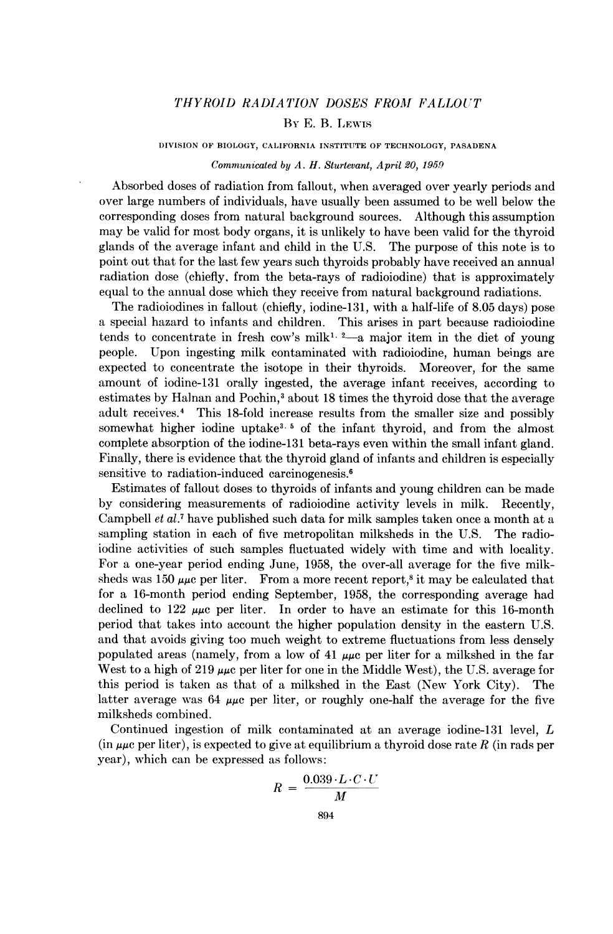# THYROID RADIATION DOSES FROM FALLOUT

## BY E. B. LEWIS

DIVISION OF BIOLOGY, CALIFORNIA INSTITUTE OF TECHNOLOGY, PASADENA

#### Communicated by A. H. Sturtevant, April 20, 1959

Absorbed doses of radiation from fallout, when averaged over yearly periods and over large numbers of individuals, have usually been assumed to be well below the corresponding doses from natural background sources. Although this assumption may be valid for most body organs, it is unlikely to have been valid for the thyroid glands of the average infant and child in the U.S. The purpose of this note is to point out that for the last few years such thyroids probably have received an annual radiation dose (chiefly, from the beta-rays of radioiodine) that is approximately equal to the annual dose which they receive from natural background radiations.

The radioiodines in fallout (chiefly, iodine-131, with a half-life of 8.05 days) pose a special hazard to infants and children. This arises in part because radioiodine tends to concentrate in fresh cow's milk<sup>1, 2</sup> a major item in the diet of young people. Upon ingesting milk contaminated with radioiodine, human beings are expected to concentrate the isotope in their thyroids. Moreover, for the same amount of iodine-131 orally ingested, the average infant receives, according to estimates by Halnan and Pochin,<sup>3</sup> about 18 times the thyroid dose that the average adult receives.4 This 18-fold increase results from the smaller size and possibly somewhat higher iodine uptake<sup>3, 5</sup> of the infant thyroid, and from the almost complete absorption of the iodine-131 beta-rays even within the small infant gland. Finally, there is evidence that the thyroid gland of infants and children is especially sensitive to radiation-induced carcinogenesis.<sup>6</sup>

Estimates of fallout doses to thyroids of infants and young children can be made by considering measurements of radioiodine activity levels in milk. Recently, Campbell et al.7 have published such data for milk samples taken once a month at a sampling station in each of five metropolitan milksheds in the U.S. The radioiodine activities of such samples fluctuated widely with time and with locality. For a one-year period ending June, 1958, the over-all average for the five milksheds was 150  $\mu\mu c$  per liter. From a more recent report,<sup>8</sup> it may be calculated that for a 16-month period ending September, 1958, the corresponding average had declined to 122  $\mu\mu$  per liter. In order to have an estimate for this 16-month period that takes into account the higher population density in the eastern U.S. and that avoids giving too much weight to extreme fluctuations from less densely populated areas (namely, from a low of 41  $\mu\mu$ c per liter for a milkshed in the far West to a high of 219  $\mu\mu$ c per liter for one in the Middle West), the U.S. average for this period is taken as that of a milkshed in the East (New York City). The latter average was 64  $\mu\mu$ c per liter, or roughly one-half the average for the five milksheds combined.

Continued ingestion of milk contaminated at an average iodine-131 level, L (in  $\mu\mu c$  per liter), is expected to give at equilibrium a thyroid dose rate R (in rads per year), which can be expressed as follows:

$$
R = \frac{0.039 \cdot L \cdot C \cdot U}{M}
$$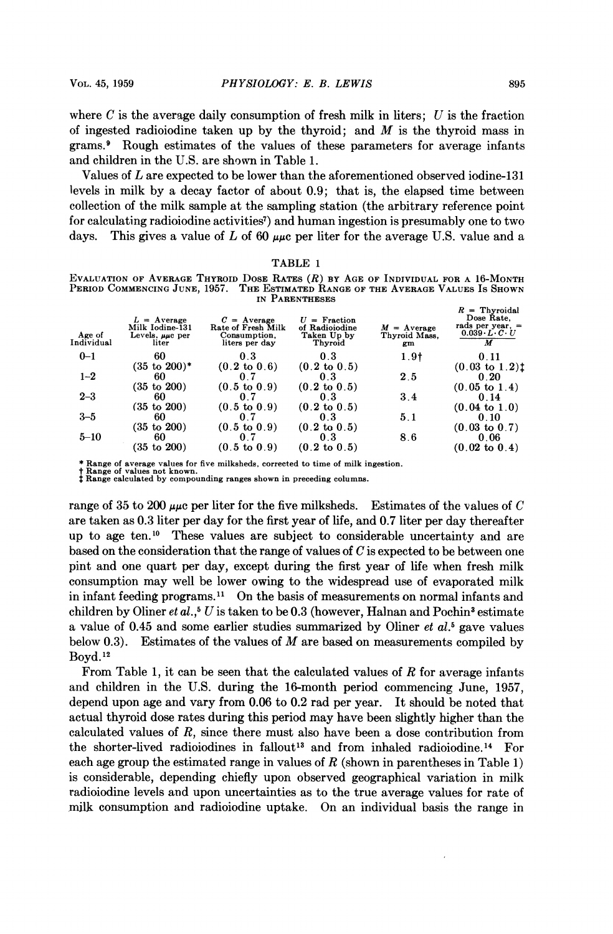where C is the average daily consumption of fresh milk in liters;  $U$  is the fraction of ingested radioiodine taken up by the thyroid; and  $M$  is the thyroid mass in grams.9 Rough estimates of the values of these parameters for average infants and children in the U.S. are shown in Table 1.

Values of L are expected to be lower than the aforementioned observed iodine-131 levels in milk by a decay factor of about 0.9; that is, the elapsed time between collection of the milk sample at the sampling station (the arbitrary reference point for calculating radioiodine activities<sup>7</sup>) and human ingestion is presumably one to two days. This gives a value of L of 60  $\mu\mu$ c per liter for the average U.S. value and a

|                      |                                                                     | Evaluation of Average Thyroid Dose Rates $(R)$ by Age of Individual for a 16-Month |                                                            |                                      |                                                                                             |
|----------------------|---------------------------------------------------------------------|------------------------------------------------------------------------------------|------------------------------------------------------------|--------------------------------------|---------------------------------------------------------------------------------------------|
|                      |                                                                     | Period Commencing June, 1957.   The Estimated Range of the Average Values Is Shown |                                                            |                                      |                                                                                             |
|                      |                                                                     |                                                                                    | IN PARENTHESES                                             |                                      |                                                                                             |
| Age of<br>Individual | $L =$ Average<br>Milk Iodine-131<br>Levels, $\mu\mu c$ per<br>liter | $C = Average$<br>Rate of Fresh Milk<br>Consumption,<br>liters per day              | $U =$ Fraction<br>of Radioiodine<br>Taken Up by<br>Thyroid | $M =$ Average<br>Thyroid Mass.<br>gm | $R =$ Thyroidal<br>Dose Rate.<br>rads per year. $=$<br>$0.039 \cdot L \cdot C \cdot U$<br>М |
| $0 - 1$              | 60                                                                  | 0.3                                                                                | 0.3                                                        | 1.9 <sub>†</sub>                     | 0.11                                                                                        |
|                      | $(35 \text{ to } 200)^*$                                            | $(0.2 \text{ to } 0.6)$                                                            | $(0.2 \text{ to } 0.5)$                                    |                                      | $(0.03 \text{ to } 1.2)$ <sup>t</sup>                                                       |
| $1 - 2$              | 60                                                                  | 0.7                                                                                | 0.3                                                        | 2.5                                  | 0.20                                                                                        |
|                      | $(35 \text{ to } 200)$                                              | $(0.5 \text{ to } 0.9)$                                                            | $(0.2 \text{ to } 0.5)$                                    |                                      | $(0.05 \text{ to } 1.4)$                                                                    |
| $2 - 3$              | 60                                                                  | 0.7                                                                                | 03                                                         | 3.4                                  | 0.14                                                                                        |
|                      | $(35 \text{ to } 200)$                                              | $(0.5 \text{ to } 0.9)$                                                            | $(0.2 \text{ to } 0.5)$                                    |                                      | $(0.04 \text{ to } 1.0)$                                                                    |
| $3 - 5$              | 60                                                                  | 0.7                                                                                | 0.3                                                        | 5.1                                  | 0.10                                                                                        |
|                      | $(35 \text{ to } 200)$                                              | $(0.5 \text{ to } 0.9)$                                                            | $(0.2 \text{ to } 0.5)$                                    |                                      | $(0.03 \text{ to } 0.7)$                                                                    |
| $5 - 10$             | 60                                                                  | 07                                                                                 | 0.3                                                        | 8.6                                  | 0.06                                                                                        |
|                      | (35 to 200)                                                         | $(0.5 \text{ to } 0.9)$                                                            | $(0.2 \text{ to } 0.5)$                                    |                                      | $(0.02 \text{ to } 0.4)$                                                                    |

TABLE <sup>1</sup>

Range of average values for five milksheds, corrected to time of milk ingestion.<br>Range of values not known.

t Range of values not known. <sup>t</sup> Range calculated by compounding ranges shown in preceding columns.

range of 35 to 200  $\mu\mu$ c per liter for the five milksheds. Estimates of the values of C are taken as 0.3 liter per day for the first year of life, and 0.7 liter per day thereafter up to age ten.'0 These values are subject to considerable uncertainty and are based on the consideration that the range of values of C is expected to be between one pint and one quart per day, except during the first year of life when fresh milk consumption may well be lower owing to the widespread use of evaporated milk in infant feeding programs." On the basis of measurements on normal infants and children by Oliner et al.,<sup>5</sup> U is taken to be 0.3 (however, Halnan and Pochin<sup>3</sup> estimate a value of 0.45 and some earlier studies summarized by Oliner *et al.*<sup>5</sup> gave values below 0.3). Estimates of the values of  $M$  are based on measurements compiled by Boyd. <sup>12</sup>

From Table 1, it can be seen that the calculated values of  $R$  for average infants and children in the U.S. during the 16-month period commencing June, 1957, depend upon age and vary from 0.06 to 0.2 rad per year. It should be noted that actual thyroid dose rates during this period may have been slightly higher than the calculated values of R, since there must also have been a dose contribution from the shorter-lived radioiodines in fallout'3 and from inhaled radioiodine.14 For each age group the estimated range in values of  $R$  (shown in parentheses in Table 1) is considerable, depending chiefly upon observed geographical variation in milk radioiodine levels and upon uncertainties as to the true average values for rate of milk consumption and radioiodine uptake. On an individual basis the range in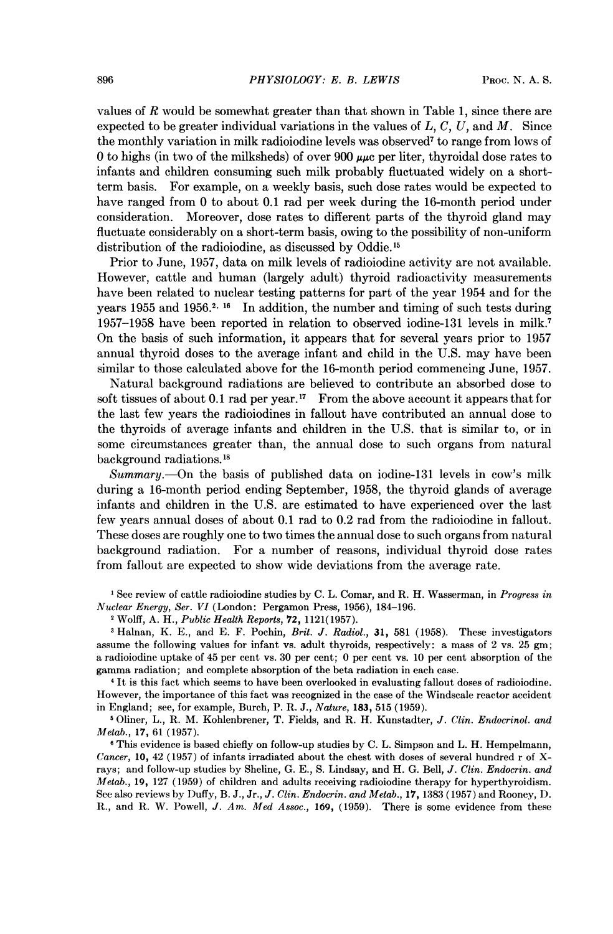values of R would be somewhat greater than that shown in Table 1, since there are expected to be greater individual variations in the values of  $L, C, U$ , and  $M$ . Since the monthly variation in milk radioiodine levels was observed7 to range from lows of 0 to highs (in two of the milksheds) of over 900  $\mu\mu$ c per liter, thyroidal dose rates to infants and children consuming such milk probably fluctuated widely on a shortterm basis. For example, on a weekly basis, such dose rates would be expected to have ranged from 0 to about 0.1 rad per week during the 16-month period under consideration. Moreover, dose rates to different parts of the thyroid gland may fluctuate considerably on a short-term basis, owing to the possibility of non-uniform distribution of the radioiodine, as discussed by Oddie.<sup>15</sup>

Prior to June, 1957, data on milk levels of radioiodine activity are not available. However, cattle and human (largely adult) thyroid radioactivity measurements have been related to nuclear testing patterns for part of the year 1954 and for the years 1955 and 1956.<sup>2, 16</sup> In addition, the number and timing of such tests during 1957-1958 have been reported in relation to observed iodine-131 levels in milk.7 On the basis of such information, it appears that for several years prior to 1957 annual thyroid doses to the average infant and child in the U.S. may have been similar to those calculated above for the 16-month period commencing June, 1957.

Natural background radiations are believed to contribute an absorbed dose to soft tissues of about 0.1 rad per year.<sup>17</sup> From the above account it appears that for the last few years the radioiodines in fallout have contributed an annual dose to the thyroids of average infants and children in the U.S. that is similar to, or in some circumstances greater than, the annual dose to such organs from natural background radiations. <sup>15</sup>

Summary. On the basis of published data on iodine-131 levels in cow's milk during a 16-month period ending September, 1958, the thyroid glands of average infants and children in the U.S. are estimated to have experienced over the last few years annual doses of about 0.1 rad to 0.2 rad from the radioiodine in fallout. These doses are roughly one to two times the annual dose to such organs from natural background radiation. For a number of reasons, individual thyroid dose rates from fallout are expected to show wide deviations from the average rate.

<sup>1</sup> See review of cattle radioiodine studies by C. L. Comar, and R. H. Wasserman, in Progress in Nuclear Energy, Ser. VI (London: Pergamon Press, 1956), 184-196.

<sup>2</sup> Wolff, A. H., Public Health Reports, 72, 1121(1957).

<sup>3</sup> Halnan, K. E., and E. F. Pochin, *Brit. J. Radiol.*, 31, 581 (1958). These investigators assume the following values for infant vs. adult thyroids, respectively: a mass of 2 vs. 25 gm; a radioiodine uptake of 45 per cent vs. 30 per cent; 0 per cent vs. 10 per cent absorption of the gamma radiation; and complete absorption of the beta radiation in each case.

<sup>4</sup> It is this fact which seems to have been overlooked in evaluating fallout doses of radioiodine. However, the importance of this fact was recognized in the case of the Windscale reactor accident in England; see, for example, Burch, P. R. J., Nature, 183, 515 (1959).

<sup>5</sup> Oliner, L., R. M. Kohlenbrener, T. Fields, and R. H. Kunstadter, J. Clin. Endocrinol. and Metab., 17, 61 (1957).

<sup>6</sup> This evidence is based chiefly on follow-up studies by C. L. Simpson and L. H. Hempelmann, Cancer, 10, 42 (1957) of infants irradiated about the chest with doses of several hundred r of Xrays; and follow-up studies by Sheline, G. E., S. Lindsay, and H. G. Bell, J. Clin. Endocrin. and Metab., 19, 127 (1959) of children and adults receiving radioiodine therapy for hyperthyroidism. See also reviews by Duffy, B. J., Jr., J. Clin. Endocrin. and Metab., 17, 1383 (1957) and Rooney, D. R., and R. W. Powell, J. Am. Med Assoc., 169, (1959). There is some evidence from these